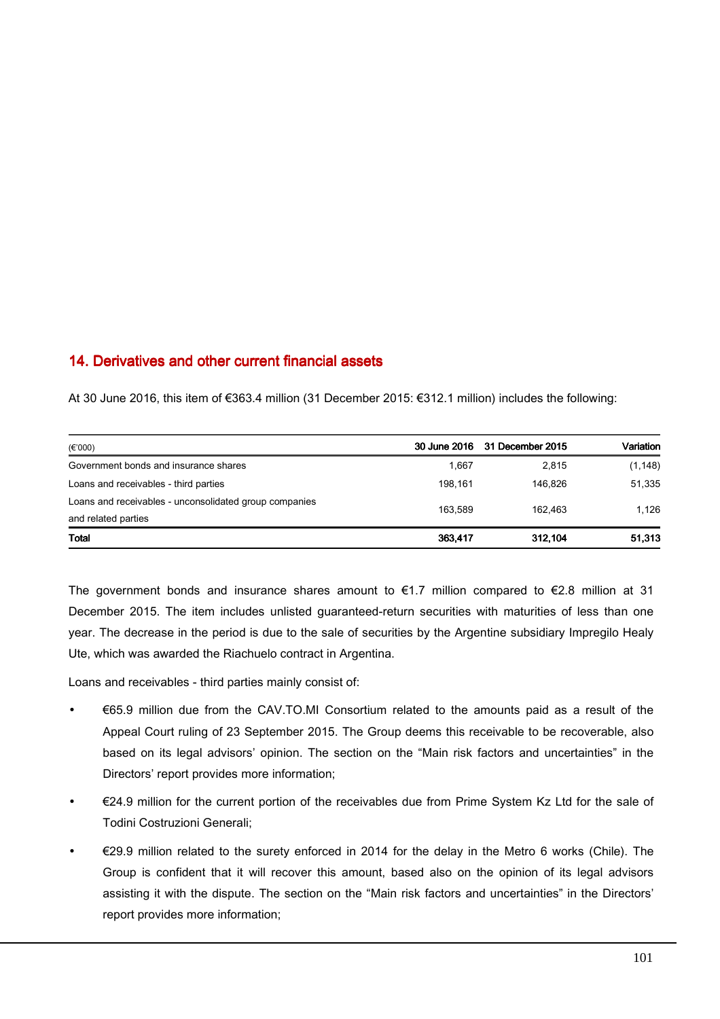## 14. Derivatives and other current financial assets

At 30 June 2016, this item of €363.4 million (31 December 2015: €312.1 million) includes the following:

| $(\epsilon$ '000)                                      |         | 30 June 2016 31 December 2015 | Variation |
|--------------------------------------------------------|---------|-------------------------------|-----------|
| Government bonds and insurance shares                  | 1.667   | 2.815                         | (1, 148)  |
| Loans and receivables - third parties                  | 198.161 | 146.826                       | 51,335    |
| Loans and receivables - unconsolidated group companies | 163.589 | 162.463                       | 1.126     |
| and related parties                                    |         |                               |           |
| <b>Total</b>                                           | 363,417 | 312.104                       | 51,313    |

The government bonds and insurance shares amount to  $\epsilon$ 1.7 million compared to  $\epsilon$ 2.8 million at 31 December 2015. The item includes unlisted guaranteed-return securities with maturities of less than one year. The decrease in the period is due to the sale of securities by the Argentine subsidiary Impregilo Healy Ute, which was awarded the Riachuelo contract in Argentina.

Loans and receivables - third parties mainly consist of:

- €65.9 million due from the CAV.TO.MI Consortium related to the amounts paid as a result of the Appeal Court ruling of 23 September 2015. The Group deems this receivable to be recoverable, also based on its legal advisors' opinion. The section on the "Main risk factors and uncertainties" in the Directors' report provides more information;
- €24.9 million for the current portion of the receivables due from Prime System Kz Ltd for the sale of Todini Costruzioni Generali;
- $€29.9$  million related to the surety enforced in 2014 for the delay in the Metro 6 works (Chile). The Group is confident that it will recover this amount, based also on the opinion of its legal advisors assisting it with the dispute. The section on the "Main risk factors and uncertainties" in the Directors' report provides more information;